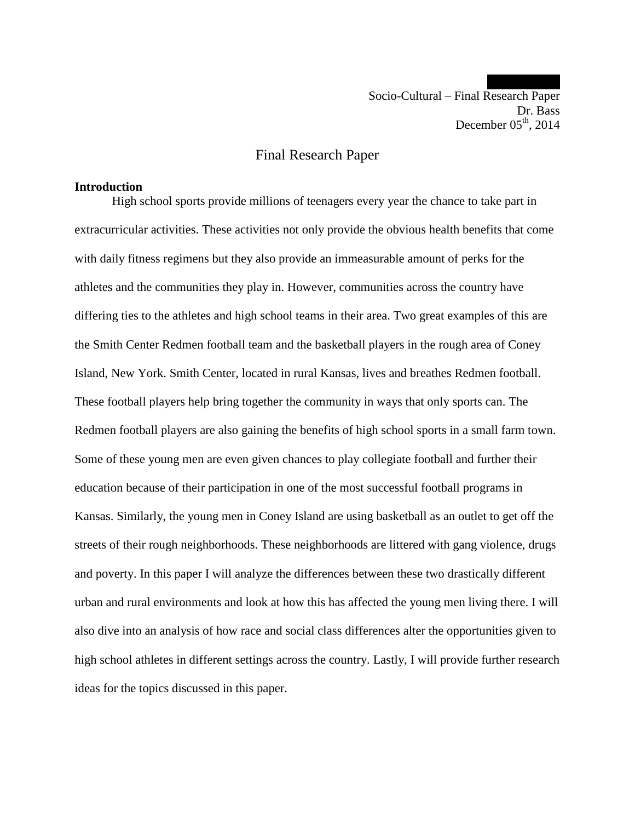Socio-Cultural – Final Research Paper Dr. Bass December  $05<sup>th</sup>$ , 2014

# Final Research Paper

#### **Introduction**

High school sports provide millions of teenagers every year the chance to take part in extracurricular activities. These activities not only provide the obvious health benefits that come with daily fitness regimens but they also provide an immeasurable amount of perks for the athletes and the communities they play in. However, communities across the country have differing ties to the athletes and high school teams in their area. Two great examples of this are the Smith Center Redmen football team and the basketball players in the rough area of Coney Island, New York. Smith Center, located in rural Kansas, lives and breathes Redmen football. These football players help bring together the community in ways that only sports can. The Redmen football players are also gaining the benefits of high school sports in a small farm town. Some of these young men are even given chances to play collegiate football and further their education because of their participation in one of the most successful football programs in Kansas. Similarly, the young men in Coney Island are using basketball as an outlet to get off the streets of their rough neighborhoods. These neighborhoods are littered with gang violence, drugs and poverty. In this paper I will analyze the differences between these two drastically different urban and rural environments and look at how this has affected the young men living there. I will also dive into an analysis of how race and social class differences alter the opportunities given to high school athletes in different settings across the country. Lastly, I will provide further research ideas for the topics discussed in this paper.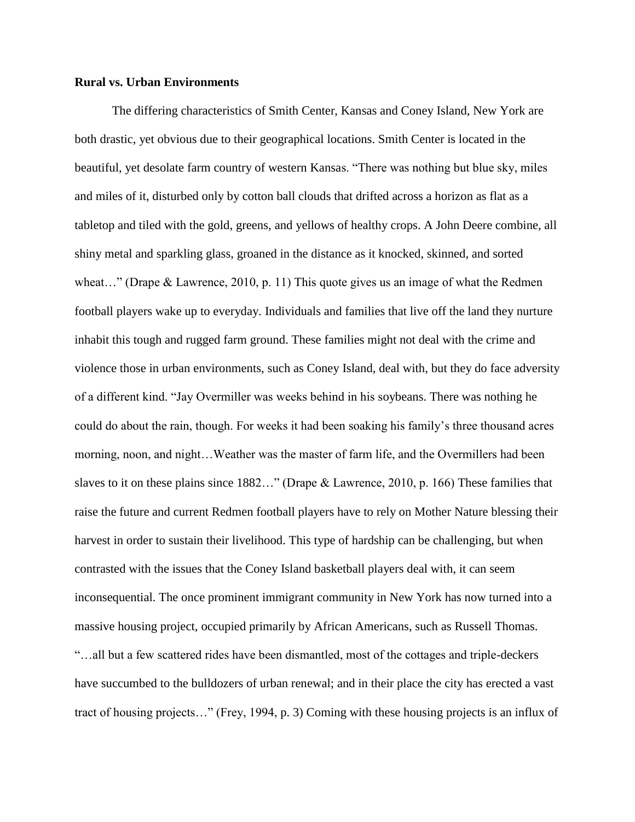## **Rural vs. Urban Environments**

The differing characteristics of Smith Center, Kansas and Coney Island, New York are both drastic, yet obvious due to their geographical locations. Smith Center is located in the beautiful, yet desolate farm country of western Kansas. "There was nothing but blue sky, miles and miles of it, disturbed only by cotton ball clouds that drifted across a horizon as flat as a tabletop and tiled with the gold, greens, and yellows of healthy crops. A John Deere combine, all shiny metal and sparkling glass, groaned in the distance as it knocked, skinned, and sorted wheat..." (Drape & Lawrence, 2010, p. 11) This quote gives us an image of what the Redmen football players wake up to everyday. Individuals and families that live off the land they nurture inhabit this tough and rugged farm ground. These families might not deal with the crime and violence those in urban environments, such as Coney Island, deal with, but they do face adversity of a different kind. "Jay Overmiller was weeks behind in his soybeans. There was nothing he could do about the rain, though. For weeks it had been soaking his family's three thousand acres morning, noon, and night…Weather was the master of farm life, and the Overmillers had been slaves to it on these plains since 1882…" (Drape & Lawrence, 2010, p. 166) These families that raise the future and current Redmen football players have to rely on Mother Nature blessing their harvest in order to sustain their livelihood. This type of hardship can be challenging, but when contrasted with the issues that the Coney Island basketball players deal with, it can seem inconsequential. The once prominent immigrant community in New York has now turned into a massive housing project, occupied primarily by African Americans, such as Russell Thomas. "…all but a few scattered rides have been dismantled, most of the cottages and triple-deckers have succumbed to the bulldozers of urban renewal; and in their place the city has erected a vast tract of housing projects…" (Frey, 1994, p. 3) Coming with these housing projects is an influx of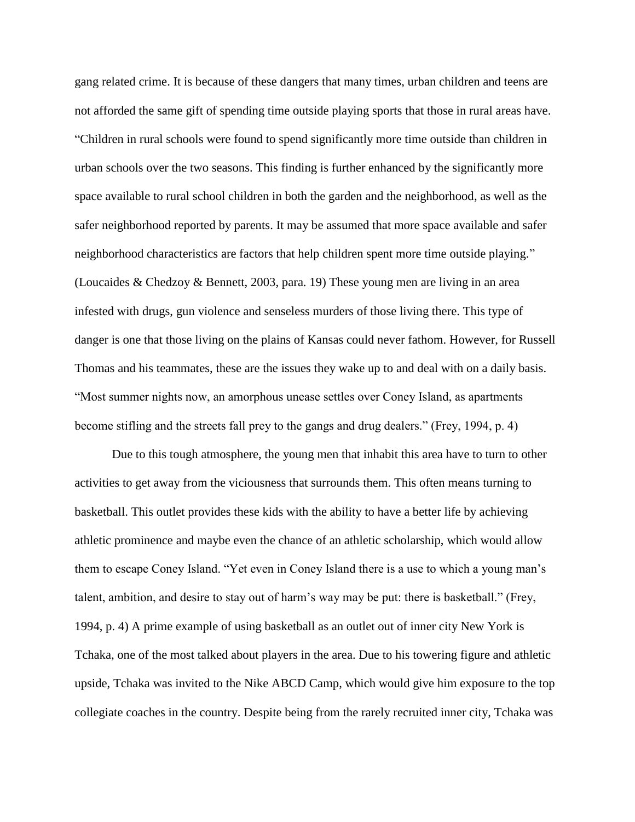gang related crime. It is because of these dangers that many times, urban children and teens are not afforded the same gift of spending time outside playing sports that those in rural areas have. "Children in rural schools were found to spend significantly more time outside than children in urban schools over the two seasons. This finding is further enhanced by the significantly more space available to rural school children in both the garden and the neighborhood, as well as the safer neighborhood reported by parents. It may be assumed that more space available and safer neighborhood characteristics are factors that help children spent more time outside playing." (Loucaides & Chedzoy & Bennett, 2003, para. 19) These young men are living in an area infested with drugs, gun violence and senseless murders of those living there. This type of danger is one that those living on the plains of Kansas could never fathom. However, for Russell Thomas and his teammates, these are the issues they wake up to and deal with on a daily basis. "Most summer nights now, an amorphous unease settles over Coney Island, as apartments become stifling and the streets fall prey to the gangs and drug dealers." (Frey, 1994, p. 4)

Due to this tough atmosphere, the young men that inhabit this area have to turn to other activities to get away from the viciousness that surrounds them. This often means turning to basketball. This outlet provides these kids with the ability to have a better life by achieving athletic prominence and maybe even the chance of an athletic scholarship, which would allow them to escape Coney Island. "Yet even in Coney Island there is a use to which a young man's talent, ambition, and desire to stay out of harm's way may be put: there is basketball." (Frey, 1994, p. 4) A prime example of using basketball as an outlet out of inner city New York is Tchaka, one of the most talked about players in the area. Due to his towering figure and athletic upside, Tchaka was invited to the Nike ABCD Camp, which would give him exposure to the top collegiate coaches in the country. Despite being from the rarely recruited inner city, Tchaka was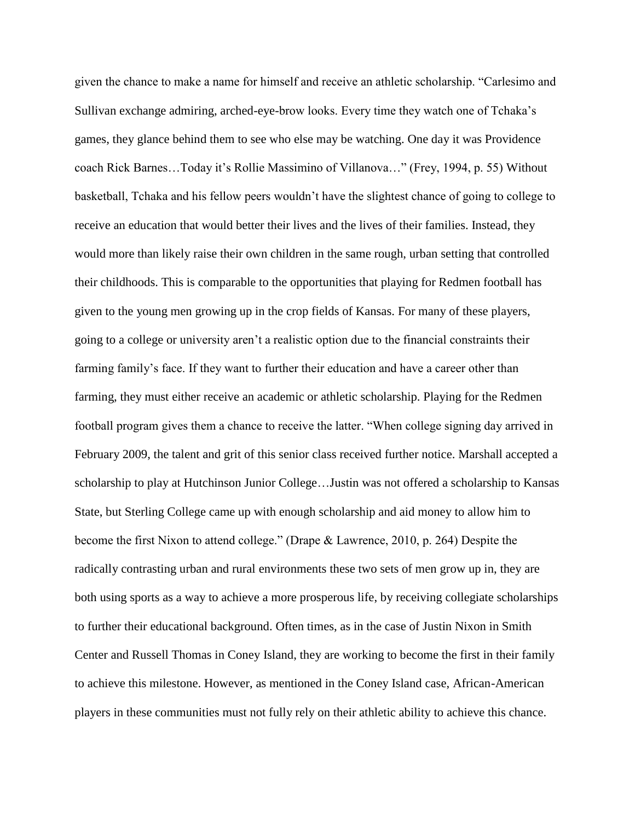given the chance to make a name for himself and receive an athletic scholarship. "Carlesimo and Sullivan exchange admiring, arched-eye-brow looks. Every time they watch one of Tchaka's games, they glance behind them to see who else may be watching. One day it was Providence coach Rick Barnes…Today it's Rollie Massimino of Villanova…" (Frey, 1994, p. 55) Without basketball, Tchaka and his fellow peers wouldn't have the slightest chance of going to college to receive an education that would better their lives and the lives of their families. Instead, they would more than likely raise their own children in the same rough, urban setting that controlled their childhoods. This is comparable to the opportunities that playing for Redmen football has given to the young men growing up in the crop fields of Kansas. For many of these players, going to a college or university aren't a realistic option due to the financial constraints their farming family's face. If they want to further their education and have a career other than farming, they must either receive an academic or athletic scholarship. Playing for the Redmen football program gives them a chance to receive the latter. "When college signing day arrived in February 2009, the talent and grit of this senior class received further notice. Marshall accepted a scholarship to play at Hutchinson Junior College…Justin was not offered a scholarship to Kansas State, but Sterling College came up with enough scholarship and aid money to allow him to become the first Nixon to attend college." (Drape & Lawrence, 2010, p. 264) Despite the radically contrasting urban and rural environments these two sets of men grow up in, they are both using sports as a way to achieve a more prosperous life, by receiving collegiate scholarships to further their educational background. Often times, as in the case of Justin Nixon in Smith Center and Russell Thomas in Coney Island, they are working to become the first in their family to achieve this milestone. However, as mentioned in the Coney Island case, African-American players in these communities must not fully rely on their athletic ability to achieve this chance.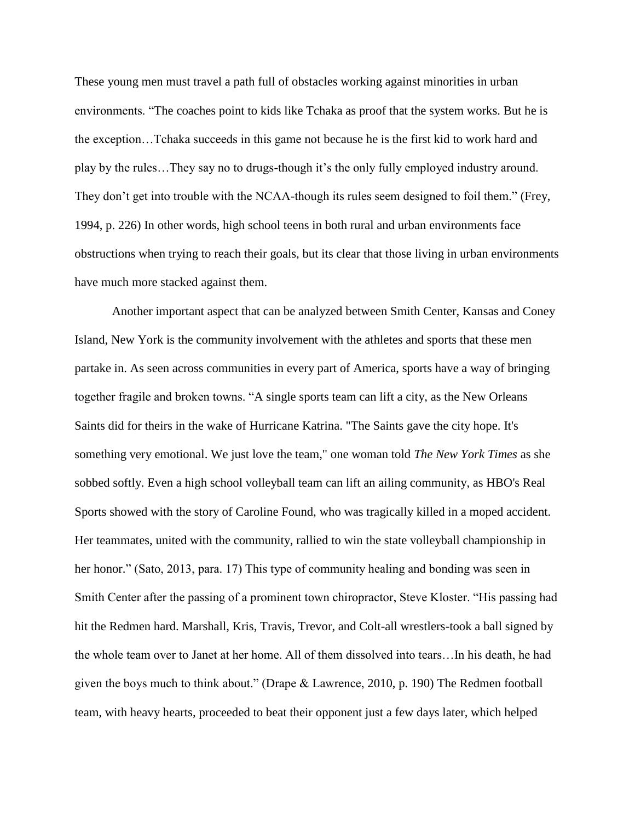These young men must travel a path full of obstacles working against minorities in urban environments. "The coaches point to kids like Tchaka as proof that the system works. But he is the exception…Tchaka succeeds in this game not because he is the first kid to work hard and play by the rules…They say no to drugs-though it's the only fully employed industry around. They don't get into trouble with the NCAA-though its rules seem designed to foil them." (Frey, 1994, p. 226) In other words, high school teens in both rural and urban environments face obstructions when trying to reach their goals, but its clear that those living in urban environments have much more stacked against them.

Another important aspect that can be analyzed between Smith Center, Kansas and Coney Island, New York is the community involvement with the athletes and sports that these men partake in. As seen across communities in every part of America, sports have a way of bringing together fragile and broken towns. "A single sports team can lift a city, as the New Orleans Saints did for theirs in the wake of Hurricane Katrina. "The Saints gave the city hope. It's something very emotional. We just love the team," one woman told *The New York Times* as she sobbed softly. Even a high school volleyball team can lift an ailing community, as HBO's Real Sports showed with the story of Caroline Found, who was tragically killed in a moped accident. Her teammates, united with the community, rallied to win the state volleyball championship in her honor." (Sato, 2013, para. 17) This type of community healing and bonding was seen in Smith Center after the passing of a prominent town chiropractor, Steve Kloster. "His passing had hit the Redmen hard. Marshall, Kris, Travis, Trevor, and Colt-all wrestlers-took a ball signed by the whole team over to Janet at her home. All of them dissolved into tears…In his death, he had given the boys much to think about." (Drape & Lawrence, 2010, p. 190) The Redmen football team, with heavy hearts, proceeded to beat their opponent just a few days later, which helped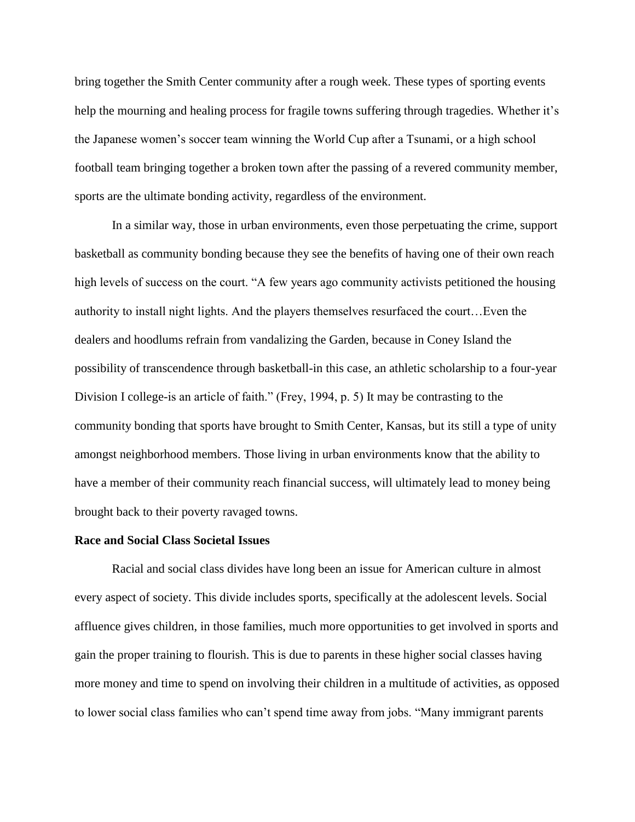bring together the Smith Center community after a rough week. These types of sporting events help the mourning and healing process for fragile towns suffering through tragedies. Whether it's the Japanese women's soccer team winning the World Cup after a Tsunami, or a high school football team bringing together a broken town after the passing of a revered community member, sports are the ultimate bonding activity, regardless of the environment.

In a similar way, those in urban environments, even those perpetuating the crime, support basketball as community bonding because they see the benefits of having one of their own reach high levels of success on the court. "A few years ago community activists petitioned the housing authority to install night lights. And the players themselves resurfaced the court…Even the dealers and hoodlums refrain from vandalizing the Garden, because in Coney Island the possibility of transcendence through basketball-in this case, an athletic scholarship to a four-year Division I college-is an article of faith." (Frey, 1994, p. 5) It may be contrasting to the community bonding that sports have brought to Smith Center, Kansas, but its still a type of unity amongst neighborhood members. Those living in urban environments know that the ability to have a member of their community reach financial success, will ultimately lead to money being brought back to their poverty ravaged towns.

#### **Race and Social Class Societal Issues**

Racial and social class divides have long been an issue for American culture in almost every aspect of society. This divide includes sports, specifically at the adolescent levels. Social affluence gives children, in those families, much more opportunities to get involved in sports and gain the proper training to flourish. This is due to parents in these higher social classes having more money and time to spend on involving their children in a multitude of activities, as opposed to lower social class families who can't spend time away from jobs. "Many immigrant parents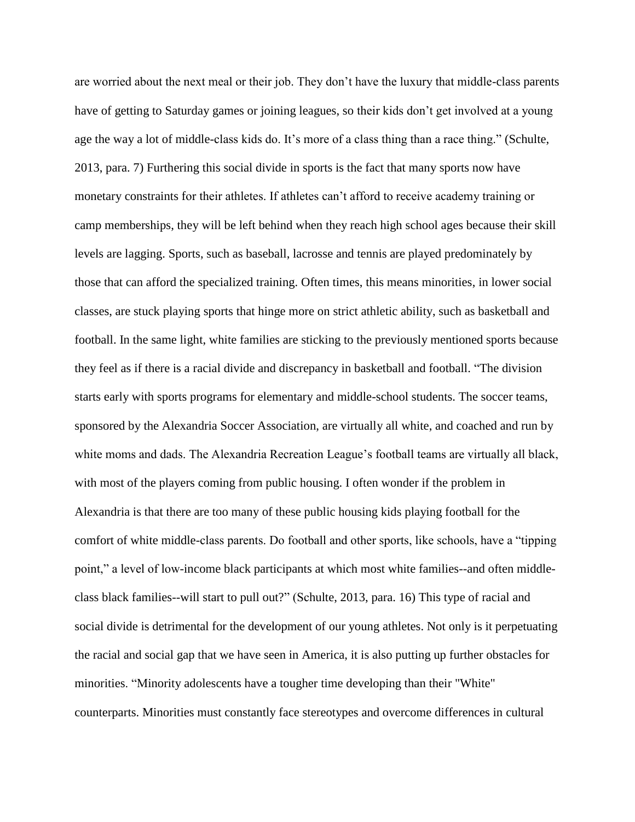are worried about the next meal or their job. They don't have the luxury that middle-class parents have of getting to Saturday games or joining leagues, so their kids don't get involved at a young age the way a lot of middle-class kids do. It's more of a class thing than a race thing." (Schulte, 2013, para. 7) Furthering this social divide in sports is the fact that many sports now have monetary constraints for their athletes. If athletes can't afford to receive academy training or camp memberships, they will be left behind when they reach high school ages because their skill levels are lagging. Sports, such as baseball, lacrosse and tennis are played predominately by those that can afford the specialized training. Often times, this means minorities, in lower social classes, are stuck playing sports that hinge more on strict athletic ability, such as basketball and football. In the same light, white families are sticking to the previously mentioned sports because they feel as if there is a racial divide and discrepancy in basketball and football. "The division starts early with sports programs for elementary and middle-school students. The soccer teams, sponsored by the Alexandria Soccer Association, are virtually all white, and coached and run by white moms and dads. The Alexandria Recreation League's football teams are virtually all black, with most of the players coming from public housing. I often wonder if the problem in Alexandria is that there are too many of these public housing kids playing football for the comfort of white middle-class parents. Do football and other sports, like schools, have a "tipping point," a level of low-income black participants at which most white families--and often middleclass black families--will start to pull out?" (Schulte, 2013, para. 16) This type of racial and social divide is detrimental for the development of our young athletes. Not only is it perpetuating the racial and social gap that we have seen in America, it is also putting up further obstacles for minorities. "Minority adolescents have a tougher time developing than their "White" counterparts. Minorities must constantly face stereotypes and overcome differences in cultural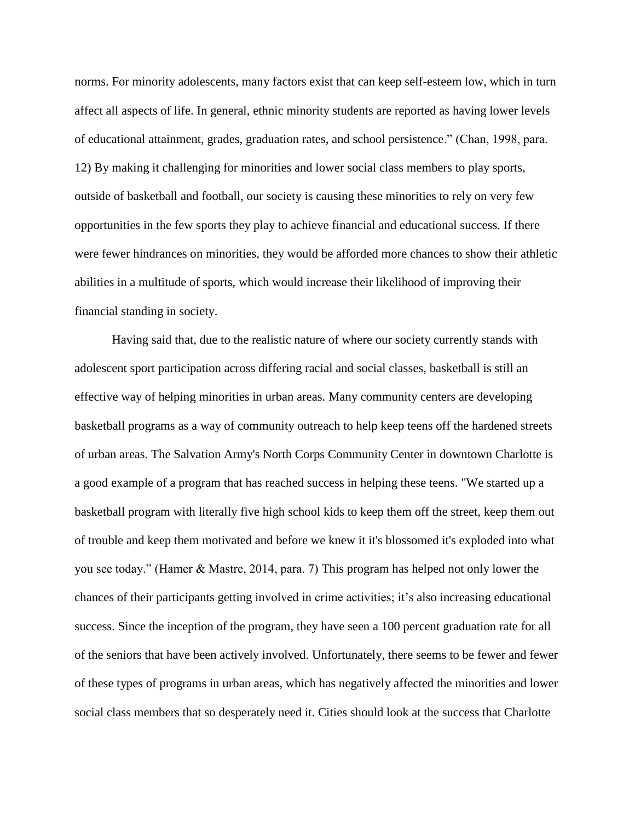norms. For minority adolescents, many factors exist that can keep self-esteem low, which in turn affect all aspects of life. In general, ethnic minority students are reported as having lower levels of educational attainment, grades, graduation rates, and school persistence." (Chan, 1998, para. 12) By making it challenging for minorities and lower social class members to play sports, outside of basketball and football, our society is causing these minorities to rely on very few opportunities in the few sports they play to achieve financial and educational success. If there were fewer hindrances on minorities, they would be afforded more chances to show their athletic abilities in a multitude of sports, which would increase their likelihood of improving their financial standing in society.

Having said that, due to the realistic nature of where our society currently stands with adolescent sport participation across differing racial and social classes, basketball is still an effective way of helping minorities in urban areas. Many community centers are developing basketball programs as a way of community outreach to help keep teens off the hardened streets of urban areas. The Salvation Army's North Corps Community Center in downtown Charlotte is a good example of a program that has reached success in helping these teens. "We started up a basketball program with literally five high school kids to keep them off the street, keep them out of trouble and keep them motivated and before we knew it it's blossomed it's exploded into what you see today." (Hamer & Mastre, 2014, para. 7) This program has helped not only lower the chances of their participants getting involved in crime activities; it's also increasing educational success. Since the inception of the program, they have seen a 100 percent graduation rate for all of the seniors that have been actively involved. Unfortunately, there seems to be fewer and fewer of these types of programs in urban areas, which has negatively affected the minorities and lower social class members that so desperately need it. Cities should look at the success that Charlotte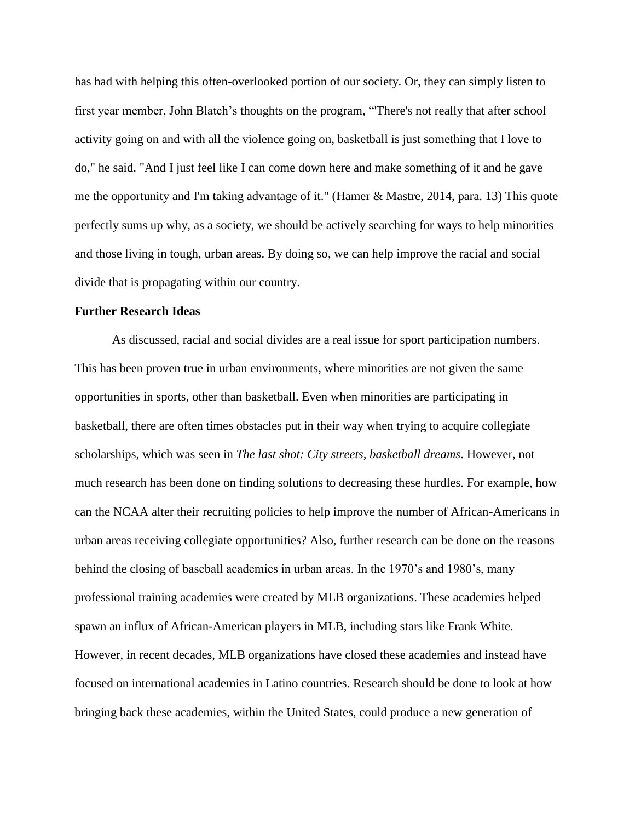has had with helping this often-overlooked portion of our society. Or, they can simply listen to first year member, John Blatch's thoughts on the program, "'There's not really that after school activity going on and with all the violence going on, basketball is just something that I love to do," he said. "And I just feel like I can come down here and make something of it and he gave me the opportunity and I'm taking advantage of it." (Hamer & Mastre, 2014, para. 13) This quote perfectly sums up why, as a society, we should be actively searching for ways to help minorities and those living in tough, urban areas. By doing so, we can help improve the racial and social divide that is propagating within our country.

## **Further Research Ideas**

As discussed, racial and social divides are a real issue for sport participation numbers. This has been proven true in urban environments, where minorities are not given the same opportunities in sports, other than basketball. Even when minorities are participating in basketball, there are often times obstacles put in their way when trying to acquire collegiate scholarships, which was seen in *The last shot: City streets, basketball dreams*. However, not much research has been done on finding solutions to decreasing these hurdles. For example, how can the NCAA alter their recruiting policies to help improve the number of African-Americans in urban areas receiving collegiate opportunities? Also, further research can be done on the reasons behind the closing of baseball academies in urban areas. In the 1970's and 1980's, many professional training academies were created by MLB organizations. These academies helped spawn an influx of African-American players in MLB, including stars like Frank White. However, in recent decades, MLB organizations have closed these academies and instead have focused on international academies in Latino countries. Research should be done to look at how bringing back these academies, within the United States, could produce a new generation of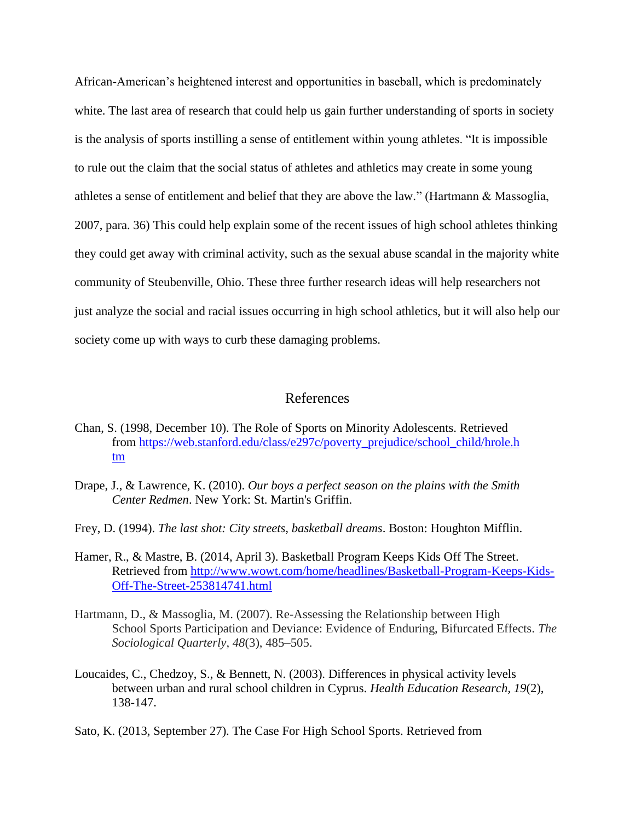African-American's heightened interest and opportunities in baseball, which is predominately white. The last area of research that could help us gain further understanding of sports in society is the analysis of sports instilling a sense of entitlement within young athletes. "It is impossible to rule out the claim that the social status of athletes and athletics may create in some young athletes a sense of entitlement and belief that they are above the law." (Hartmann & Massoglia, 2007, para. 36) This could help explain some of the recent issues of high school athletes thinking they could get away with criminal activity, such as the sexual abuse scandal in the majority white community of Steubenville, Ohio. These three further research ideas will help researchers not just analyze the social and racial issues occurring in high school athletics, but it will also help our society come up with ways to curb these damaging problems.

# References

- Chan, S. (1998, December 10). The Role of Sports on Minority Adolescents. Retrieved from [https://web.stanford.edu/class/e297c/poverty\\_prejudice/school\\_child/hrole.h](https://web.stanford.edu/class/e297c/poverty_prejudice/school_child/hrole.htm) [tm](https://web.stanford.edu/class/e297c/poverty_prejudice/school_child/hrole.htm)
- Drape, J., & Lawrence, K. (2010). *Our boys a perfect season on the plains with the Smith Center Redmen*. New York: St. Martin's Griffin.
- Frey, D. (1994). *The last shot: City streets, basketball dreams*. Boston: Houghton Mifflin.
- Hamer, R., & Mastre, B. (2014, April 3). Basketball Program Keeps Kids Off The Street. Retrieved from [http://www.wowt.com/home/headlines/Basketball-Program-Keeps-Kids-](http://www.wowt.com/home/headlines/Basketball-Program-Keeps-Kids-Off-The-Street-253814741.html)[Off-The-Street-253814741.html](http://www.wowt.com/home/headlines/Basketball-Program-Keeps-Kids-Off-The-Street-253814741.html)
- Hartmann, D., & Massoglia, M. (2007). Re-Assessing the Relationship between High School Sports Participation and Deviance: Evidence of Enduring, Bifurcated Effects. *The Sociological Quarterly*, *48*(3), 485–505.
- Loucaides, C., Chedzoy, S., & Bennett, N. (2003). Differences in physical activity levels between urban and rural school children in Cyprus. *Health Education Research, 19*(2), 138-147.
- Sato, K. (2013, September 27). The Case For High School Sports. Retrieved from